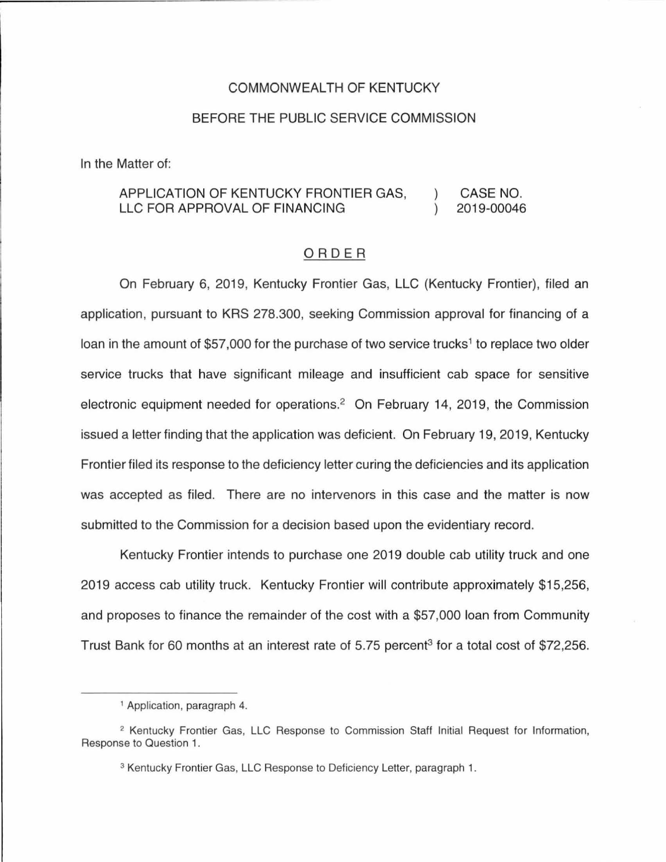## COMMONWEALTH OF KENTUCKY

## BEFORE THE PUBLIC SERVICE COMMISSION

In the Matter of:

## APPLICATION OF KENTUCKY FRONTIER GAS,  $\lambda$ CASE NO. LLC FOR APPROVAL OF FINANCING 2019-00046

## ORDER

On February 6, 2019, Kentucky Frontier Gas, LLC (Kentucky Frontier), filed an application, pursuant to KRS 278.300, seeking Commission approval for financing of a loan in the amount of \$57,000 for the purchase of two service trucks<sup>1</sup> to replace two older service trucks that have significant mileage and insufficient cab space for sensitive electronic equipment needed for operations.<sup>2</sup> On February 14, 2019, the Commission issued a letter finding that the application was deficient. On February 19, 2019, Kentucky Frontier filed its response to the deficiency letter curing the deficiencies and its application was accepted as filed. There are no intervenors in this case and the matter is now submitted to the Commission for a decision based upon the evidentiary record.

Kentucky Frontier intends to purchase one 2019 double cab utility truck and one 2019 access cab utility truck. Kentucky Frontier will contribute approximately \$15,256, and proposes to finance the remainder of the cost with a \$57,000 loan from Community Trust Bank for 60 months at an interest rate of 5.75 percent<sup>3</sup> for a total cost of \$72,256.

<sup>1</sup>Application, paragraph 4.

<sup>&</sup>lt;sup>2</sup> Kentucky Frontier Gas, LLC Response to Commission Staff Initial Request for Information, Response to Question 1.

<sup>&</sup>lt;sup>3</sup> Kentucky Frontier Gas, LLC Response to Deficiency Letter, paragraph 1.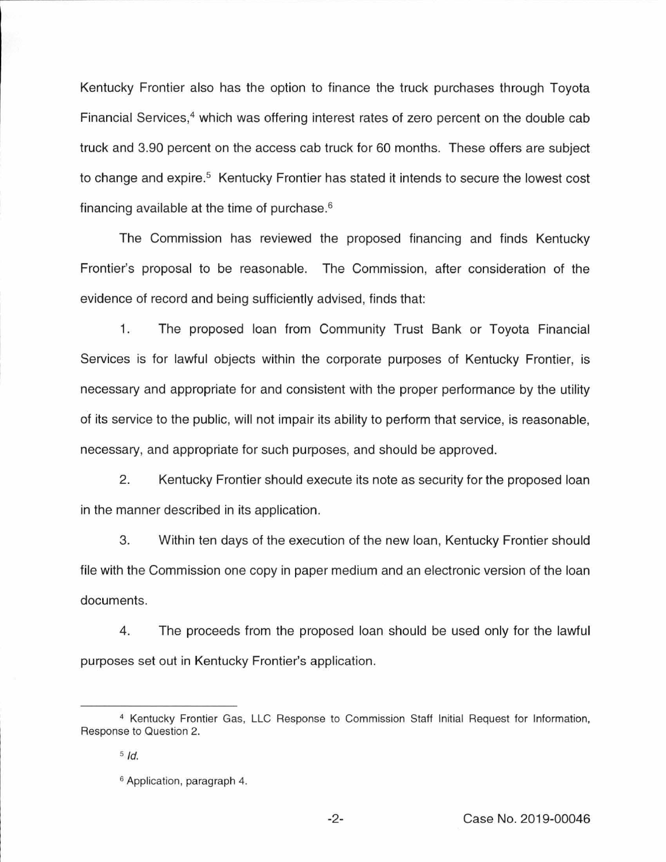Kentucky Frontier also has the option to finance the truck purchases through Toyota Financial Services, $4$  which was offering interest rates of zero percent on the double cab truck and 3.90 percent on the access cab truck for 60 months. These offers are subject to change and expire.<sup>5</sup> Kentucky Frontier has stated it intends to secure the lowest cost financing available at the time of purchase.<sup>6</sup>

The Commission has reviewed the proposed financing and finds Kentucky Frontier's proposal to be reasonable. The Commission, after consideration of the evidence of record and being sufficiently advised, finds that:

1. The proposed loan from Community Trust Bank or Toyota Financial Services is for lawful objects within the corporate purposes of Kentucky Frontier, is necessary and appropriate for and consistent with the proper performance by the utility of its service to the public, will not impair its ability to perform that service, is reasonable, necessary, and appropriate for such purposes, and should be approved.

2. Kentucky Frontier should execute its note as security for the proposed loan in the manner described in its application.

3. Within ten days of the execution of the new loan, Kentucky Frontier should file with the Commission one copy in paper medium and an electronic version of the loan documents.

4. The proceeds from the proposed loan should be used only for the lawful purposes set out in Kentucky Frontier's application.

<sup>4</sup> Kentucky Frontier Gas, LLC Response to Commission Staff Initial Request for Information, Response to Question 2.

 $5$   $Id.$ 

<sup>&</sup>lt;sup>6</sup> Application, paragraph 4.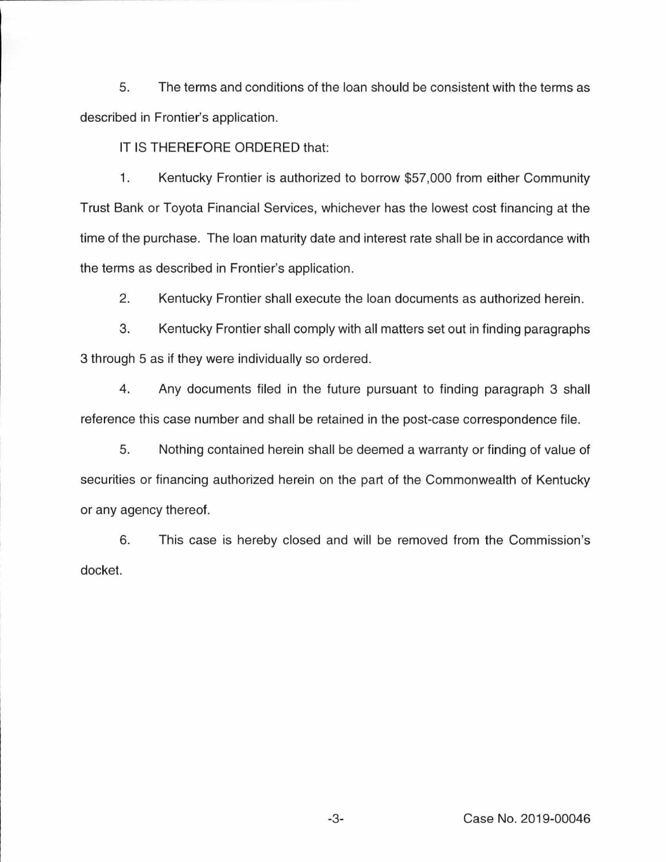5. The terms and conditions of the loan should be consistent with the terms as described in Frontier's application.

IT IS THEREFORE ORDERED that:

1. Kentucky Frontier is authorized to borrow \$57,000 from either Community Trust Bank or Toyota Financial Services, whichever has the lowest cost financing at the time of the purchase. The loan maturity date and interest rate shall be in accordance with the terms as described in Frontier's application.

2. Kentucky Frontier shall execute the loan documents as authorized herein.

3. Kentucky Frontier shall comply with all matters set out in finding paragraphs 3 through 5 as if they were individually so ordered.

4. Any documents filed in the future pursuant to finding paragraph 3 shall reference this case number and shall be retained in the post-case correspondence file.

5. Nothing contained herein shall be deemed a warranty or finding of value of securities or financing authorized herein on the part of the Commonwealth of Kentucky or any agency thereof.

6. This case is hereby closed and will be removed from the Commission's docket.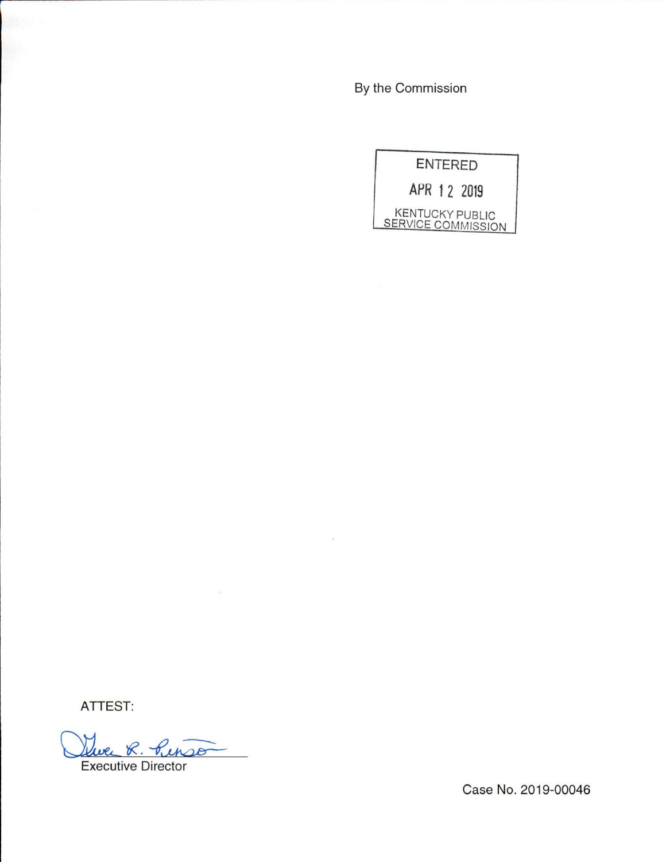By the Commission

 $\sim$ 



ATTEST:

Que R. Pinso

Executive Director

Case No. 2019-00046